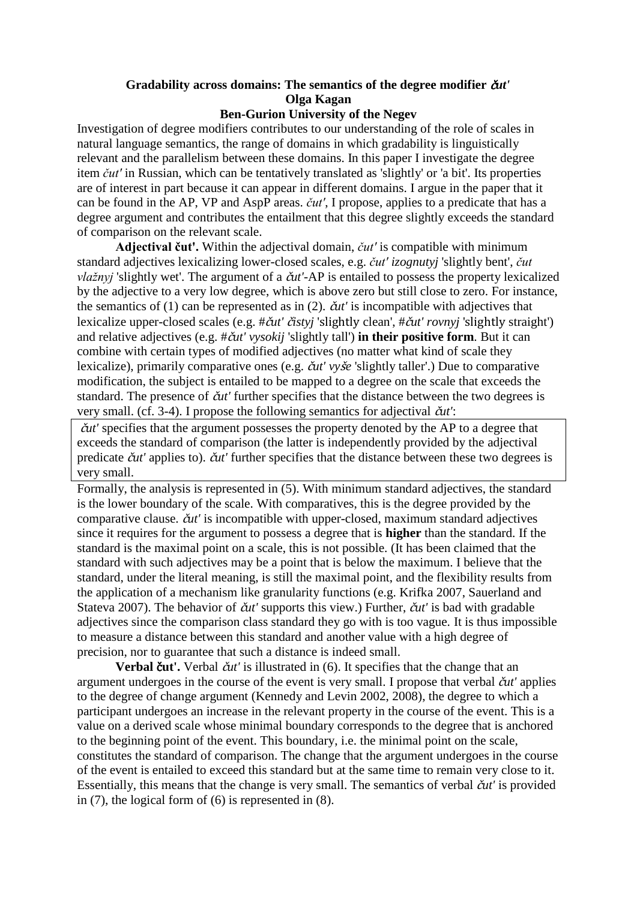## **Gradability across domains: The semantics of the degree modifier** č*ut'* **Olga Kagan**

## **Ben-Gurion University of the Negev**

Investigation of degree modifiers contributes to our understanding of the role of scales in natural language semantics, the range of domains in which gradability is linguistically relevant and the parallelism between these domains. In this paper I investigate the degree item *čut'* in Russian, which can be tentatively translated as 'slightly' or 'a bit'. Its properties are of interest in part because it can appear in different domains. I argue in the paper that it can be found in the AP, VP and AspP areas. *čut'*, I propose, applies to a predicate that has a degree argument and contributes the entailment that this degree slightly exceeds the standard of comparison on the relevant scale.

**Adjectival čut'.** Within the adjectival domain, *čut'* is compatible with minimum standard adjectives lexicalizing lower-closed scales, e.g. *čut' izognutyj* 'slightly bent', *čut vlažnyj* 'slightly wet'. The argument of a č*ut'*-AP is entailed to possess the property lexicalized by the adjective to a very low degree, which is above zero but still close to zero. For instance, the semantics of (1) can be represented as in (2). č*ut'* is incompatible with adjectives that lexicalize upper-closed scales (e.g. #č*ut'* č*istyj* 'slightly clean', #č*ut' rovnyj* 'slightly straight') and relative adjectives (e.g. #č*ut' vysokij* 'slightly tall') **in their positive form**. But it can combine with certain types of modified adjectives (no matter what kind of scale they lexicalize), primarily comparative ones (e.g. č*ut' vy*š*e* 'slightly taller'.) Due to comparative modification, the subject is entailed to be mapped to a degree on the scale that exceeds the standard. The presence of č*ut'* further specifies that the distance between the two degrees is very small. (cf. 3-4). I propose the following semantics for adjectival č*ut'*:

č*ut'* specifies that the argument possesses the property denoted by the AP to a degree that exceeds the standard of comparison (the latter is independently provided by the adjectival predicate č*ut'* applies to). č*ut'* further specifies that the distance between these two degrees is very small.

Formally, the analysis is represented in (5). With minimum standard adjectives, the standard is the lower boundary of the scale. With comparatives, this is the degree provided by the comparative clause. č*ut'* is incompatible with upper-closed, maximum standard adjectives since it requires for the argument to possess a degree that is **higher** than the standard. If the standard is the maximal point on a scale, this is not possible. (It has been claimed that the standard with such adjectives may be a point that is below the maximum. I believe that the standard, under the literal meaning, is still the maximal point, and the flexibility results from the application of a mechanism like granularity functions (e.g. Krifka 2007, Sauerland and Stateva 2007). The behavior of č*ut'* supports this view.) Further, č*ut'* is bad with gradable adjectives since the comparison class standard they go with is too vague. It is thus impossible to measure a distance between this standard and another value with a high degree of precision, nor to guarantee that such a distance is indeed small.

**Verbal** č**ut'.** Verbal č*ut'* is illustrated in (6). It specifies that the change that an argument undergoes in the course of the event is very small. I propose that verbal č*ut'* applies to the degree of change argument (Kennedy and Levin 2002, 2008), the degree to which a participant undergoes an increase in the relevant property in the course of the event. This is a value on a derived scale whose minimal boundary corresponds to the degree that is anchored to the beginning point of the event. This boundary, i.e. the minimal point on the scale, constitutes the standard of comparison. The change that the argument undergoes in the course of the event is entailed to exceed this standard but at the same time to remain very close to it. Essentially, this means that the change is very small. The semantics of verbal č*ut'* is provided in (7), the logical form of (6) is represented in (8).